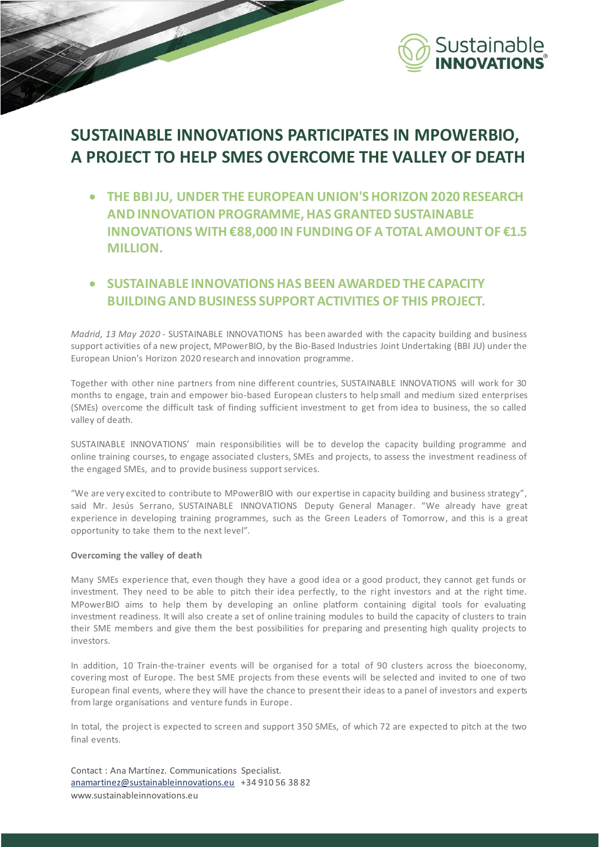

## **SUSTAINABLE INNOVATIONS PARTICIPATES IN MPOWERBIO, A PROJECT TO HELP SMES OVERCOME THE VALLEY OF DEATH**

- **THE BBI JU, UNDER THE EUROPEAN UNION'S HORIZON 2020 RESEARCH AND INNOVATION PROGRAMME, HAS GRANTED SUSTAINABLE INNOVATIONS WITH €88,000 IN FUNDING OF A TOTAL AMOUNT OF €1.5 MILLION.**
- **SUSTAINABLE INNOVATIONS HAS BEEN AWARDED THE CAPACITY BUILDING AND BUSINESS SUPPORT ACTIVITIES OF THIS PROJECT.**

*Madrid, 13 May 2020* - SUSTAINABLE INNOVATIONS has been awarded with the capacity building and business support activities of a new project, MPowerBIO, by the Bio-Based Industries Joint Undertaking (BBI JU) under the European Union's Horizon 2020 research and innovation programme.

Together with other nine partners from nine different countries, SUSTAINABLE INNOVATIONS will work for 30 months to engage, train and empower bio-based European clusters to help small and medium sized enterprises (SMEs) overcome the difficult task of finding sufficient investment to get from idea to business, the so called valley of death.

SUSTAINABLE INNOVATIONS' main responsibilities will be to develop the capacity building programme and online training courses, to engage associated clusters, SMEs and projects, to assess the investment readiness of the engaged SMEs, and to provide business support services.

"We are very excited to contribute to MPowerBIO with our expertise in capacity building and business strategy", said Mr. Jesús Serrano, SUSTAINABLE INNOVATIONS Deputy General Manager. "We already have great experience in developing training programmes, such as the Green Leaders of Tomorrow, and this is a great opportunity to take them to the next level".

## **Overcoming the valley of death**

Many SMEs experience that, even though they have a good idea or a good product, they cannot get funds or investment. They need to be able to pitch their idea perfectly, to the right investors and at the right time. MPowerBIO aims to help them by developing an online platform containing digital tools for evaluating investment readiness. It will also create a set of online training modules to build the capacity of clusters to train their SME members and give them the best possibilities for preparing and presenting high quality projects to investors.

In addition, 10 Train-the-trainer events will be organised for a total of 90 clusters across the bioeconomy, covering most of Europe. The best SME projects from these events will be selected and invited to one of two European final events, where they will have the chance to present their ideas to a panel of investors and experts from large organisations and venture funds in Europe.

In total, the project is expected to screen and support 350 SMEs, of which 72 are expected to pitch at the two final events.

Contact : Ana Martínez. Communications Specialist. [anamartinez@sustainableinnovations.eu](mailto:anamartinez@sustainableinnovations.eu) +34 910 56 38 82 www.sustainableinnovations.eu